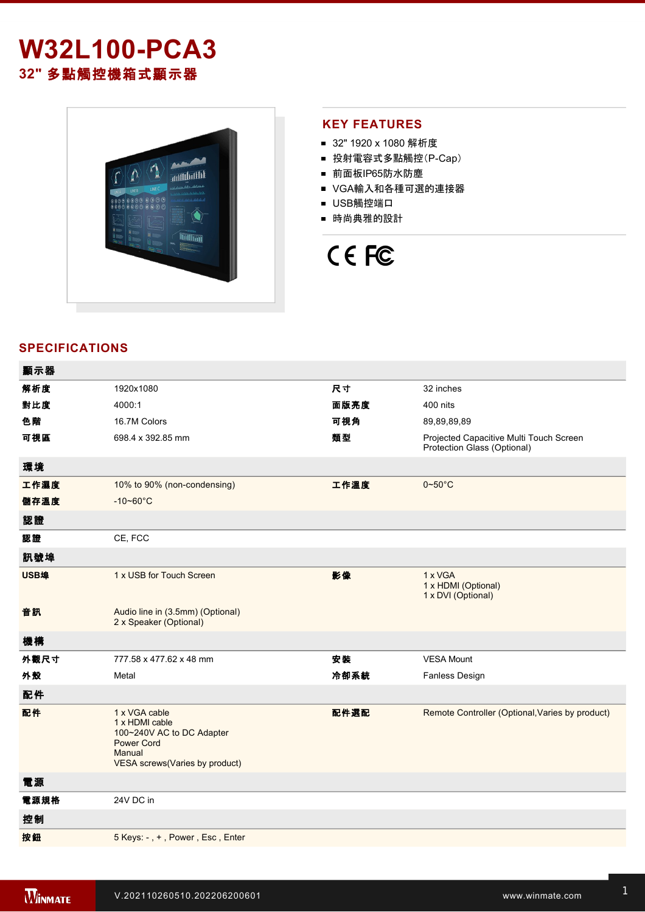## **W32L100-PCA3 32"** 多點觸控機箱式顯示器



## **KEY FEATURES**

- 32" 1920 x 1080 解析度
- 投射電容式多點觸控(P-Cap)
- 前面板IP65防水防塵
- VGA輸入和各種可選的連接器
- USB觸控端口
- 時尚典雅的設計



## **SPECIFICATIONS**

| 顯示器  |                                                                                                                               |      |                                                                        |
|------|-------------------------------------------------------------------------------------------------------------------------------|------|------------------------------------------------------------------------|
| 解析度  | 1920x1080                                                                                                                     | 尺寸   | 32 inches                                                              |
| 對比度  | 4000:1                                                                                                                        | 面版亮度 | 400 nits                                                               |
| 色階   | 16.7M Colors                                                                                                                  | 可視角  | 89,89,89,89                                                            |
| 可視區  | 698 4 x 392.85 mm                                                                                                             | 類型   | Projected Capacitive Multi Touch Screen<br>Protection Glass (Optional) |
| 環境   |                                                                                                                               |      |                                                                        |
| 工作濕度 | 10% to 90% (non-condensing)                                                                                                   | 工作溫度 | $0\neg 50^\circ C$                                                     |
| 儲存溫度 | $-10 - 60^{\circ}C$                                                                                                           |      |                                                                        |
| 認證   |                                                                                                                               |      |                                                                        |
| 認證   | CE, FCC                                                                                                                       |      |                                                                        |
| 訊號埠  |                                                                                                                               |      |                                                                        |
| USB埠 | 1 x USB for Touch Screen                                                                                                      | 影像   | 1 x VGA<br>1 x HDMI (Optional)<br>1 x DVI (Optional)                   |
| 音訊   | Audio line in (3.5mm) (Optional)<br>2 x Speaker (Optional)                                                                    |      |                                                                        |
| 機構   |                                                                                                                               |      |                                                                        |
| 外觀尺寸 | 777.58 x 477.62 x 48 mm                                                                                                       | 安裝   | <b>VESA Mount</b>                                                      |
| 外殼   | Metal                                                                                                                         | 冷卻系統 | Fanless Design                                                         |
| 配件   |                                                                                                                               |      |                                                                        |
| 配件   | 1 x VGA cable<br>1 x HDMI cable<br>100~240V AC to DC Adapter<br><b>Power Cord</b><br>Manual<br>VESA screws(Varies by product) | 配件選配 | Remote Controller (Optional, Varies by product)                        |
| 電源   |                                                                                                                               |      |                                                                        |
| 電源規格 | 24V DC in                                                                                                                     |      |                                                                        |
| 控制   |                                                                                                                               |      |                                                                        |
| 按鈕   | 5 Keys: -, +, Power, Esc, Enter                                                                                               |      |                                                                        |
|      |                                                                                                                               |      |                                                                        |

**DIMENSIONS**  UNIT:MM